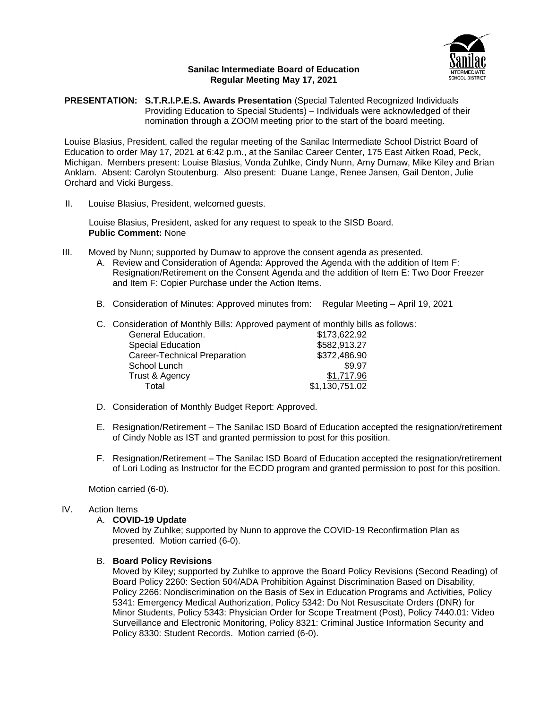

#### **Sanilac Intermediate Board of Education Regular Meeting May 17, 2021**

**PRESENTATION: S.T.R.I.P.E.S. Awards Presentation** (Special Talented Recognized Individuals Providing Education to Special Students) – Individuals were acknowledged of their nomination through a ZOOM meeting prior to the start of the board meeting.

Louise Blasius, President, called the regular meeting of the Sanilac Intermediate School District Board of Education to order May 17, 2021 at 6:42 p.m., at the Sanilac Career Center, 175 East Aitken Road, Peck, Michigan. Members present: Louise Blasius, Vonda Zuhlke, Cindy Nunn, Amy Dumaw, Mike Kiley and Brian Anklam. Absent: Carolyn Stoutenburg. Also present: Duane Lange, Renee Jansen, Gail Denton, Julie Orchard and Vicki Burgess.

II. Louise Blasius, President, welcomed guests.

Louise Blasius, President, asked for any request to speak to the SISD Board. **Public Comment:** None

- III. Moved by Nunn; supported by Dumaw to approve the consent agenda as presented.
	- A. Review and Consideration of Agenda: Approved the Agenda with the addition of Item F: Resignation/Retirement on the Consent Agenda and the addition of Item E: Two Door Freezer and Item F: Copier Purchase under the Action Items.
	- B. Consideration of Minutes: Approved minutes from: Regular Meeting April 19, 2021
	- C. Consideration of Monthly Bills: Approved payment of monthly bills as follows:

| General Education.           | \$173,622.92   |
|------------------------------|----------------|
| <b>Special Education</b>     | \$582,913.27   |
| Career-Technical Preparation | \$372,486.90   |
| School Lunch                 | \$9.97         |
| Trust & Agency               | \$1,717.96     |
| Total                        | \$1,130,751.02 |
|                              |                |

- D. Consideration of Monthly Budget Report: Approved.
- E. Resignation/Retirement The Sanilac ISD Board of Education accepted the resignation/retirement of Cindy Noble as IST and granted permission to post for this position.
- F. Resignation/Retirement The Sanilac ISD Board of Education accepted the resignation/retirement of Lori Loding as Instructor for the ECDD program and granted permission to post for this position.

Motion carried (6-0).

# IV. Action Items

#### A. **COVID-19 Update**

Moved by Zuhlke; supported by Nunn to approve the COVID-19 Reconfirmation Plan as presented. Motion carried (6-0).

#### B. **Board Policy Revisions**

Moved by Kiley; supported by Zuhlke to approve the Board Policy Revisions (Second Reading) of Board Policy 2260: Section 504/ADA Prohibition Against Discrimination Based on Disability, Policy 2266: Nondiscrimination on the Basis of Sex in Education Programs and Activities, Policy 5341: Emergency Medical Authorization, Policy 5342: Do Not Resuscitate Orders (DNR) for Minor Students, Policy 5343: Physician Order for Scope Treatment (Post), Policy 7440.01: Video Surveillance and Electronic Monitoring, Policy 8321: Criminal Justice Information Security and Policy 8330: Student Records. Motion carried (6-0).